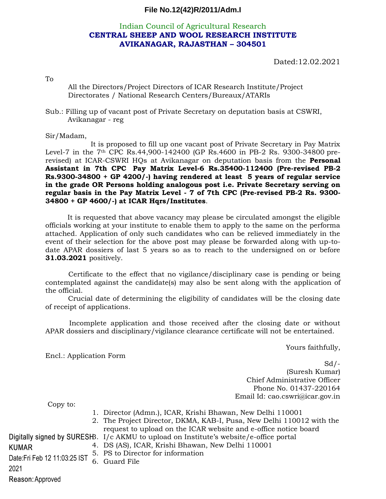## **File No.12(42)R/2011/Adm.I**

## Indian Council of Agricultural Research **CENTRAL SHEEP AND WOOL RESEARCH INSTITUTE AVIKANAGAR, RAJASTHAN – 304501**

Dated:12.02.2021

To

All the Directors/Project Directors of ICAR Research Institute/Project Directorates / National Research Centers/Bureaux/ATARIs

Sub.: Filling up of vacant post of Private Secretary on deputation basis at CSWRI, Avikanagar - reg

## Sir/Madam,

 It is proposed to fill up one vacant post of Private Secretary in Pay Matrix Level-7 in the 7th CPC Rs.44,900-142400 (GP Rs.4600 in PB-2 Rs. 9300-34800 prerevised) at ICAR-CSWRI HQs at Avikanagar on deputation basis from the **Personal Assistant in 7th CPC Pay Matrix Level-6 Rs.35400-112400 (Pre-revised PB-2 Rs.9300-34800 + GP 4200/-) having rendered at least 5 years of regular service in the grade OR Persons holding analogous post i.e. Private Secretary serving on regular basis in the Pay Matrix Level - 7 of 7th CPC (Pre-revised PB-2 Rs. 9300- 34800 + GP 4600/-) at ICAR Hqrs/Institutes**.

 It is requested that above vacancy may please be circulated amongst the eligible officials working at your institute to enable them to apply to the same on the performa attached. Application of only such candidates who can be relieved immediately in the event of their selection for the above post may please be forwarded along with up-todate APAR dossiers of last 5 years so as to reach to the undersigned on or before **31.03.2021** positively.

 Certificate to the effect that no vigilance/disciplinary case is pending or being contemplated against the candidate(s) may also be sent along with the application of the official.

Crucial date of determining the eligibility of candidates will be the closing date of receipt of applications.

 Incomplete application and those received after the closing date or without APAR dossiers and disciplinary/vigilance clearance certificate will not be entertained.

Yours faithfully,

Encl.: Application Form

 $Sd$  /-(Suresh Kumar) Chief Administrative Officer Phone No. 01437-220164 Email Id: cao.cswri@icar.gov.in

Copy to:

|                               |  | 1. Director (Admn.), ICAR, Krishi Bhawan, New Delhi 110001                             |
|-------------------------------|--|----------------------------------------------------------------------------------------|
|                               |  | 2. The Project Director, DKMA, KAB-I, Pusa, New Delhi 110012 with the                  |
|                               |  | request to upload on the ICAR website and e-office notice board                        |
|                               |  | Digitally signed by SURESHB. I/c AKMU to upload on Institute's website/e-office portal |
| <b>KUMAR</b>                  |  | 4. DS (AS), ICAR, Krishi Bhawan, New Delhi 110001                                      |
| Date: Fri Feb 12 11:03:25 IST |  | 5. PS to Director for information                                                      |
|                               |  | 6. Guard File                                                                          |
| 2021                          |  |                                                                                        |
| Reason: Approved              |  |                                                                                        |